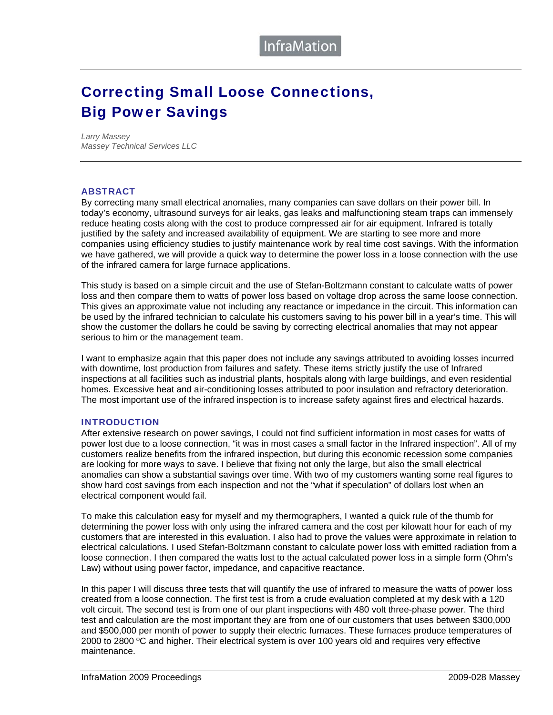## Correcting Small Loose Connections, Big Power Savings

*Larry Massey Massey Technical Services LLC* 

### **ABSTRACT**

By correcting many small electrical anomalies, many companies can save dollars on their power bill. In today's economy, ultrasound surveys for air leaks, gas leaks and malfunctioning steam traps can immensely reduce heating costs along with the cost to produce compressed air for air equipment. Infrared is totally justified by the safety and increased availability of equipment. We are starting to see more and more companies using efficiency studies to justify maintenance work by real time cost savings. With the information we have gathered, we will provide a quick way to determine the power loss in a loose connection with the use of the infrared camera for large furnace applications.

This study is based on a simple circuit and the use of Stefan-Boltzmann constant to calculate watts of power loss and then compare them to watts of power loss based on voltage drop across the same loose connection. This gives an approximate value not including any reactance or impedance in the circuit. This information can be used by the infrared technician to calculate his customers saving to his power bill in a year's time. This will show the customer the dollars he could be saving by correcting electrical anomalies that may not appear serious to him or the management team.

I want to emphasize again that this paper does not include any savings attributed to avoiding losses incurred with downtime, lost production from failures and safety. These items strictly justify the use of Infrared inspections at all facilities such as industrial plants, hospitals along with large buildings, and even residential homes. Excessive heat and air-conditioning losses attributed to poor insulation and refractory deterioration. The most important use of the infrared inspection is to increase safety against fires and electrical hazards.

#### INTRODUCTION

After extensive research on power savings, I could not find sufficient information in most cases for watts of power lost due to a loose connection, "it was in most cases a small factor in the Infrared inspection". All of my customers realize benefits from the infrared inspection, but during this economic recession some companies are looking for more ways to save. I believe that fixing not only the large, but also the small electrical anomalies can show a substantial savings over time. With two of my customers wanting some real figures to show hard cost savings from each inspection and not the "what if speculation" of dollars lost when an electrical component would fail.

To make this calculation easy for myself and my thermographers, I wanted a quick rule of the thumb for determining the power loss with only using the infrared camera and the cost per kilowatt hour for each of my customers that are interested in this evaluation. I also had to prove the values were approximate in relation to electrical calculations. I used Stefan-Boltzmann constant to calculate power loss with emitted radiation from a loose connection. I then compared the watts lost to the actual calculated power loss in a simple form (Ohm's Law) without using power factor, impedance, and capacitive reactance.

In this paper I will discuss three tests that will quantify the use of infrared to measure the watts of power loss created from a loose connection. The first test is from a crude evaluation completed at my desk with a 120 volt circuit. The second test is from one of our plant inspections with 480 volt three-phase power. The third test and calculation are the most important they are from one of our customers that uses between \$300,000 and \$500,000 per month of power to supply their electric furnaces. These furnaces produce temperatures of 2000 to 2800 °C and higher. Their electrical system is over 100 years old and requires very effective maintenance.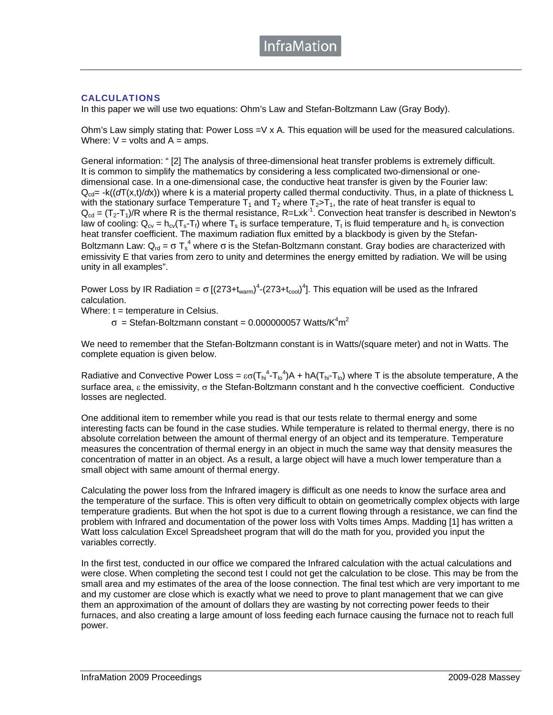### CALCULATIONS

In this paper we will use two equations: Ohm's Law and Stefan-Boltzmann Law (Gray Body).

Ohm's Law simply stating that: Power Loss =V x A. This equation will be used for the measured calculations. Where:  $V =$  volts and  $A =$  amps.

General information: " [2] The analysis of three-dimensional heat transfer problems is extremely difficult. It is common to simplify the mathematics by considering a less complicated two-dimensional or onedimensional case. In a one-dimensional case, the conductive heat transfer is given by the Fourier law:  $Q_{cd}$  -k( $(dT(x,t)/dx)$ ) where k is a material property called thermal conductivity. Thus, in a plate of thickness L with the stationary surface Temperature  $T_1$  and  $T_2$  where  $T_2>T_1$ , the rate of heat transfer is equal to  $Q_{cd} = (T_2 - T_1)/R$  where R is the thermal resistance, R=Lxk<sup>-1</sup>. Convection heat transfer is described in Newton's law of cooling:  $Q_{cv} = h_{cv}(T_s - T_f)$  where  $T_s$  is surface temperature,  $T_t$  is fluid temperature and  $h_c$  is convection heat transfer coefficient. The maximum radiation flux emitted by a blackbody is given by the Stefan-Boltzmann Law: Q<sub>rd</sub> = σ T<sub>s</sub><sup>4</sup> where σ is the Stefan-Boltzmann constant. Gray bodies are characterized with emissivity E that varies from zero to unity and determines the energy emitted by radiation. We will be using unity in all examples".

Power Loss by IR Radiation =  $\sigma$  [(273+t<sub>warm</sub>)<sup>4</sup>-(273+t<sub>cool</sub>)<sup>4</sup>]. This equation will be used as the Infrared calculation.

Where:  $t =$  temperature in Celsius.

 $\sigma$  = Stefan-Boltzmann constant = 0.000000057 Watts/K $4m^2$ 

We need to remember that the Stefan-Boltzmann constant is in Watts/(square meter) and not in Watts. The complete equation is given below.

Radiative and Convective Power Loss =  $\epsilon\sigma(T_{hi}^4 - T_{lo}^4)A + hA(T_{hi} - T_{lo})$  where T is the absolute temperature, A the surface area, ε the emissivity, σ the Stefan-Boltzmann constant and h the convective coefficient. Conductive losses are neglected.

One additional item to remember while you read is that our tests relate to thermal energy and some interesting facts can be found in the case studies. While temperature is related to thermal energy, there is no absolute correlation between the amount of thermal energy of an object and its temperature. Temperature measures the concentration of thermal energy in an object in much the same way that density measures the concentration of matter in an object. As a result, a large object will have a much lower temperature than a small object with same amount of thermal energy.

Calculating the power loss from the Infrared imagery is difficult as one needs to know the surface area and the temperature of the surface. This is often very difficult to obtain on geometrically complex objects with large temperature gradients. But when the hot spot is due to a current flowing through a resistance, we can find the problem with Infrared and documentation of the power loss with Volts times Amps. Madding [1] has written a Watt loss calculation Excel Spreadsheet program that will do the math for you, provided you input the variables correctly.

In the first test, conducted in our office we compared the Infrared calculation with the actual calculations and were close. When completing the second test I could not get the calculation to be close. This may be from the small area and my estimates of the area of the loose connection. The final test which are very important to me and my customer are close which is exactly what we need to prove to plant management that we can give them an approximation of the amount of dollars they are wasting by not correcting power feeds to their furnaces, and also creating a large amount of loss feeding each furnace causing the furnace not to reach full power.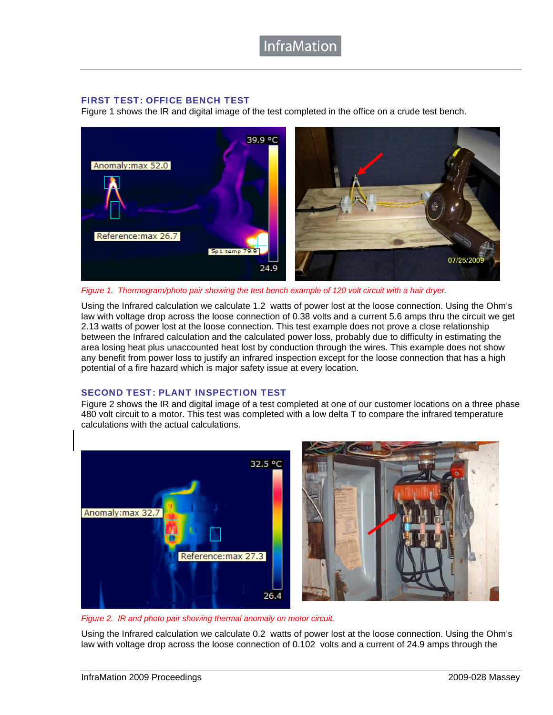### FIRST TEST: OFFICE BENCH TEST

Figure 1 shows the IR and digital image of the test completed in the office on a crude test bench.



*Figure 1. Thermogram/photo pair showing the test bench example of 120 volt circuit with a hair dryer.* 

Using the Infrared calculation we calculate 1.2 watts of power lost at the loose connection. Using the Ohm's law with voltage drop across the loose connection of 0.38 volts and a current 5.6 amps thru the circuit we get 2.13 watts of power lost at the loose connection. This test example does not prove a close relationship between the Infrared calculation and the calculated power loss, probably due to difficulty in estimating the area losing heat plus unaccounted heat lost by conduction through the wires. This example does not show any benefit from power loss to justify an infrared inspection except for the loose connection that has a high potential of a fire hazard which is major safety issue at every location.

### SECOND TEST: PLANT INSPECTION TEST

Figure 2 shows the IR and digital image of a test completed at one of our customer locations on a three phase 480 volt circuit to a motor. This test was completed with a low delta T to compare the infrared temperature calculations with the actual calculations.



*Figure 2. IR and photo pair showing thermal anomaly on motor circuit.*

Using the Infrared calculation we calculate 0.2 watts of power lost at the loose connection. Using the Ohm's law with voltage drop across the loose connection of 0.102 volts and a current of 24.9 amps through the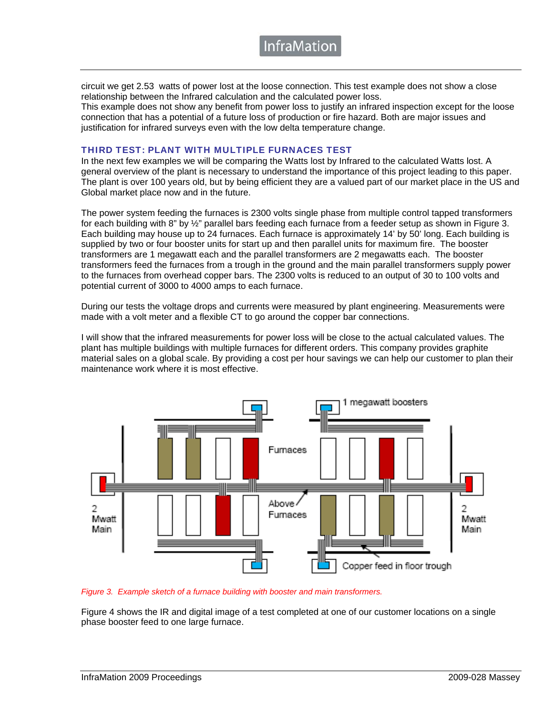circuit we get 2.53 watts of power lost at the loose connection. This test example does not show a close relationship between the Infrared calculation and the calculated power loss.

This example does not show any benefit from power loss to justify an infrared inspection except for the loose connection that has a potential of a future loss of production or fire hazard. Both are major issues and justification for infrared surveys even with the low delta temperature change.

### THIRD TEST: PLANT WITH MULTIPLE FURNACES TEST

In the next few examples we will be comparing the Watts lost by Infrared to the calculated Watts lost. A general overview of the plant is necessary to understand the importance of this project leading to this paper. The plant is over 100 years old, but by being efficient they are a valued part of our market place in the US and Global market place now and in the future.

The power system feeding the furnaces is 2300 volts single phase from multiple control tapped transformers for each building with 8" by ½" parallel bars feeding each furnace from a feeder setup as shown in Figure 3. Each building may house up to 24 furnaces. Each furnace is approximately 14' by 50' long. Each building is supplied by two or four booster units for start up and then parallel units for maximum fire. The booster transformers are 1 megawatt each and the parallel transformers are 2 megawatts each. The booster transformers feed the furnaces from a trough in the ground and the main parallel transformers supply power to the furnaces from overhead copper bars. The 2300 volts is reduced to an output of 30 to 100 volts and potential current of 3000 to 4000 amps to each furnace.

During our tests the voltage drops and currents were measured by plant engineering. Measurements were made with a volt meter and a flexible CT to go around the copper bar connections.

I will show that the infrared measurements for power loss will be close to the actual calculated values. The plant has multiple buildings with multiple furnaces for different orders. This company provides graphite material sales on a global scale. By providing a cost per hour savings we can help our customer to plan their maintenance work where it is most effective.



*Figure 3. Example sketch of a furnace building with booster and main transformers.*

Figure 4 shows the IR and digital image of a test completed at one of our customer locations on a single phase booster feed to one large furnace.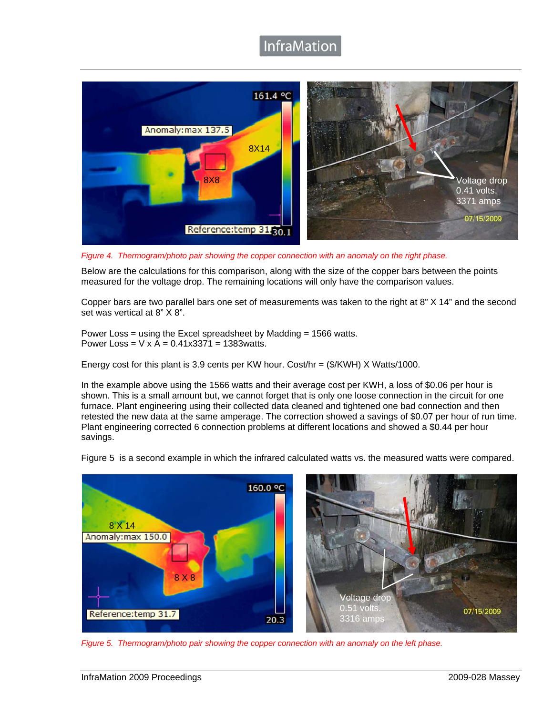### InfraMation



*Figure 4. Thermogram/photo pair showing the copper connection with an anomaly on the right phase.*

Below are the calculations for this comparison, along with the size of the copper bars between the points measured for the voltage drop. The remaining locations will only have the comparison values.

Copper bars are two parallel bars one set of measurements was taken to the right at 8" X 14" and the second set was vertical at 8" X 8".

Power Loss = using the Excel spreadsheet by Madding = 1566 watts. Power Loss =  $V \times A = 0.41 \times 3371 = 1383$  watts.

Energy cost for this plant is 3.9 cents per KW hour. Cost/hr = (\$/KWH) X Watts/1000.

In the example above using the 1566 watts and their average cost per KWH, a loss of \$0.06 per hour is shown. This is a small amount but, we cannot forget that is only one loose connection in the circuit for one furnace. Plant engineering using their collected data cleaned and tightened one bad connection and then retested the new data at the same amperage. The correction showed a savings of \$0.07 per hour of run time. Plant engineering corrected 6 connection problems at different locations and showed a \$0.44 per hour savings.



Figure 5 is a second example in which the infrared calculated watts vs. the measured watts were compared.

*Figure 5. Thermogram/photo pair showing the copper connection with an anomaly on the left phase.*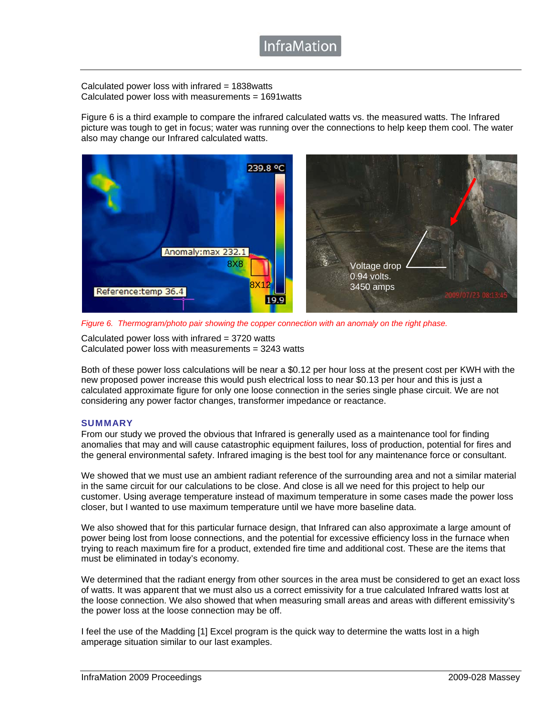### **InfraMatior**

Calculated power loss with infrared = 1838watts Calculated power loss with measurements = 1691watts

Figure 6 is a third example to compare the infrared calculated watts vs. the measured watts. The Infrared picture was tough to get in focus; water was running over the connections to help keep them cool. The water also may change our Infrared calculated watts.



*Figure 6. Thermogram/photo pair showing the copper connection with an anomaly on the right phase.*

Calculated power loss with infrared  $= 3720$  watts Calculated power loss with measurements = 3243 watts

Both of these power loss calculations will be near a \$0.12 per hour loss at the present cost per KWH with the new proposed power increase this would push electrical loss to near \$0.13 per hour and this is just a calculated approximate figure for only one loose connection in the series single phase circuit. We are not considering any power factor changes, transformer impedance or reactance.

### **SUMMARY**

From our study we proved the obvious that Infrared is generally used as a maintenance tool for finding anomalies that may and will cause catastrophic equipment failures, loss of production, potential for fires and the general environmental safety. Infrared imaging is the best tool for any maintenance force or consultant.

We showed that we must use an ambient radiant reference of the surrounding area and not a similar material in the same circuit for our calculations to be close. And close is all we need for this project to help our customer. Using average temperature instead of maximum temperature in some cases made the power loss closer, but I wanted to use maximum temperature until we have more baseline data.

We also showed that for this particular furnace design, that Infrared can also approximate a large amount of power being lost from loose connections, and the potential for excessive efficiency loss in the furnace when trying to reach maximum fire for a product, extended fire time and additional cost. These are the items that must be eliminated in today's economy.

We determined that the radiant energy from other sources in the area must be considered to get an exact loss of watts. It was apparent that we must also us a correct emissivity for a true calculated Infrared watts lost at the loose connection. We also showed that when measuring small areas and areas with different emissivity's the power loss at the loose connection may be off.

I feel the use of the Madding [1] Excel program is the quick way to determine the watts lost in a high amperage situation similar to our last examples.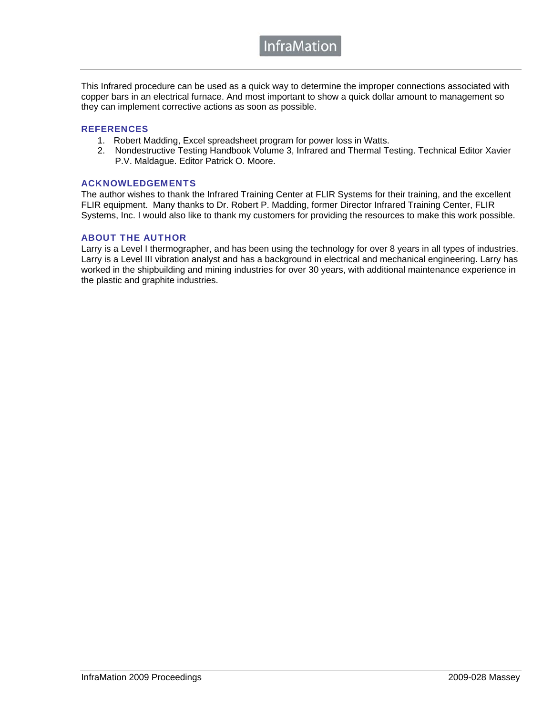This Infrared procedure can be used as a quick way to determine the improper connections associated with copper bars in an electrical furnace. And most important to show a quick dollar amount to management so they can implement corrective actions as soon as possible.

### **REFERENCES**

- 1. Robert Madding, Excel spreadsheet program for power loss in Watts.
- 2. Nondestructive Testing Handbook Volume 3, Infrared and Thermal Testing. Technical Editor Xavier P.V. Maldague. Editor Patrick O. Moore.

### ACKNOWLEDGEMENTS

The author wishes to thank the Infrared Training Center at FLIR Systems for their training, and the excellent FLIR equipment. Many thanks to Dr. Robert P. Madding, former Director Infrared Training Center, FLIR Systems, Inc. I would also like to thank my customers for providing the resources to make this work possible.

### ABOUT THE AUTHOR

Larry is a Level I thermographer, and has been using the technology for over 8 years in all types of industries. Larry is a Level III vibration analyst and has a background in electrical and mechanical engineering. Larry has worked in the shipbuilding and mining industries for over 30 years, with additional maintenance experience in the plastic and graphite industries.